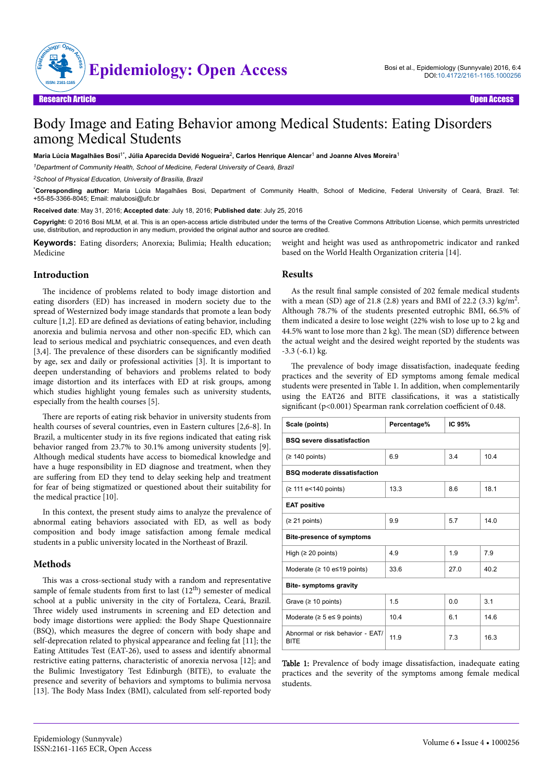

# Body Image and Eating Behavior among Medical Students: Eating Disorders among Medical Students

**Maria Lúcia Magalhães Bosi**1\***, Júlia Aparecida Devidé Nogueira**<sup>2</sup> **, Carlos Henrique Alencar**<sup>1</sup>  **and Joanne Alves Moreira**<sup>1</sup>

*<sup>1</sup>Department of Community Health, School of Medicine, Federal University of Ceará, Brazil*

*<sup>2</sup>School of Physical Education, University of Brasília, Brazil*

\***Corresponding author:** Maria Lúcia Magalhães Bosi, Department of Community Health, School of Medicine, Federal University of Ceará, Brazil. Tel: +55-85-3366-8045; Email: malubosi@ufc.br

**Received date**: May 31, 2016; **Accepted date**: July 18, 2016; **Published date**: July 25, 2016

**Copyright:** © 2016 Bosi MLM, et al. This is an open-access article distributed under the terms of the Creative Commons Attribution License, which permits unrestricted use, distribution, and reproduction in any medium, provided the original author and source are credited.

**Keywords:** Eating disorders; Anorexia; Bulimia; Health education; Medicine

weight and height was used as anthropometric indicator and ranked based on the World Health Organization criteria [14].

# **Introduction**

The incidence of problems related to body image distortion and eating disorders (ED) has increased in modern society due to the spread of Westernized body image standards that promote a lean body culture [1,2]. ED are defined as deviations of eating behavior, including anorexia and bulimia nervosa and other non-specific ED, which can lead to serious medical and psychiatric consequences, and even death  $[3,4]$ . The prevalence of these disorders can be significantly modified by age, sex and daily or professional activities [3]. It is important to deepen understanding of behaviors and problems related to body image distortion and its interfaces with ED at risk groups, among which studies highlight young females such as university students, especially from the health courses [5].

There are reports of eating risk behavior in university students from health courses of several countries, even in Eastern cultures [2,6-8]. In Brazil, a multicenter study in its five regions indicated that eating risk behavior ranged from 23.7% to 30.1% among university students [9]. Although medical students have access to biomedical knowledge and have a huge responsibility in ED diagnose and treatment, when they are suffering from ED they tend to delay seeking help and treatment for fear of being stigmatized or questioned about their suitability for the medical practice [10].

In this context, the present study aims to analyze the prevalence of abnormal eating behaviors associated with ED, as well as body composition and body image satisfaction among female medical students in a public university located in the Northeast of Brazil.

## **Methods**

This was a cross-sectional study with a random and representative sample of female students from first to last  $(12<sup>th</sup>)$  semester of medical school at a public university in the city of Fortaleza, Ceará, Brazil. Three widely used instruments in screening and ED detection and body image distortions were applied: the Body Shape Questionnaire (BSQ), which measures the degree of concern with body shape and self-deprecation related to physical appearance and feeling fat [11]; the Eating Attitudes Test (EAT-26), used to assess and identify abnormal restrictive eating patterns, characteristic of anorexia nervosa [12]; and the Bulimic Investigatory Test Edinburgh (BITE), to evaluate the presence and severity of behaviors and symptoms to bulimia nervosa [13]. The Body Mass Index (BMI), calculated from self-reported body

#### **Results**

As the result final sample consisted of 202 female medical students with a mean (SD) age of 21.8 (2.8) years and BMI of 22.2 (3.3) kg/m<sup>2</sup>. Although 78.7% of the students presented eutrophic BMI, 66.5% of them indicated a desire to lose weight (22% wish to lose up to 2 kg and 44.5% want to lose more than 2 kg). The mean (SD) difference between the actual weight and the desired weight reported by the students was -3.3 (-6.1) kg.

The prevalence of body image dissatisfaction, inadequate feeding practices and the severity of ED symptoms among female medical students were presented in Table 1. In addition, when complementarily using the EAT26 and BITE classifications, it was a statistically significant (p<0.001) Spearman rank correlation coefficient of 0.48.

| Scale (points)                                  | Percentage% | IC 95% |      |
|-------------------------------------------------|-------------|--------|------|
| <b>BSQ severe dissatisfaction</b>               |             |        |      |
| (≥ 140 points)                                  | 6.9         | 3.4    | 10.4 |
| <b>BSQ moderate dissatisfaction</b>             |             |        |      |
| (≥ 111 e < 140 points)                          | 13.3        | 8.6    | 18.1 |
| <b>EAT positive</b>                             |             |        |      |
| (≥ 21 points)                                   | 9.9         | 5.7    | 14.0 |
| <b>Bite-presence of symptoms</b>                |             |        |      |
| High $(≥ 20$ points)                            | 4.9         | 1.9    | 7.9  |
| Moderate ( $\geq 10$ e $\leq 19$ points)        | 33.6        | 27.0   | 40.2 |
| <b>Bite-symptoms gravity</b>                    |             |        |      |
| Grave ( $\geq 10$ points)                       | 1.5         | 0.0    | 3.1  |
| Moderate ( $\geq 5$ e $\leq 9$ points)          | 10.4        | 6.1    | 14.6 |
| Abnormal or risk behavior - EAT/<br><b>BITE</b> | 11.9        | 7.3    | 16.3 |

Table 1: Prevalence of body image dissatisfaction, inadequate eating practices and the severity of the symptoms among female medical students.